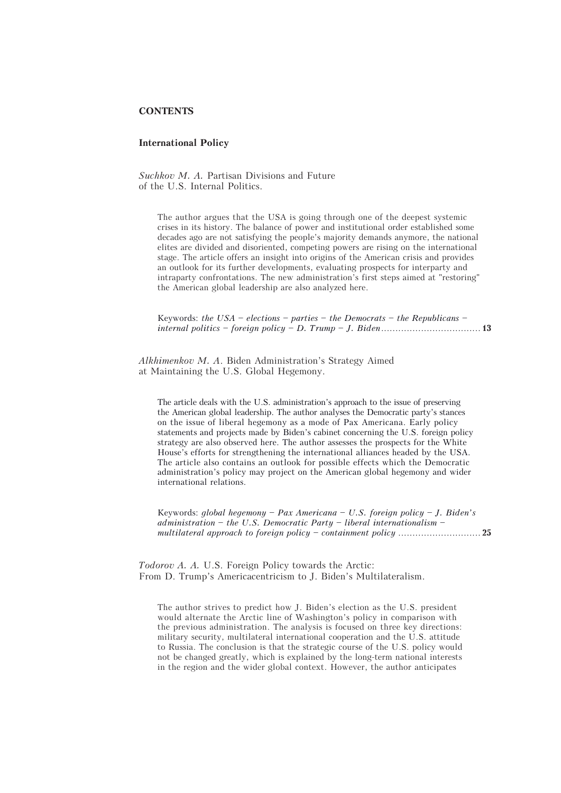## **CONTENTS**

## **International Policy**

*Suchkov M. A.* Partisan Divisions and Future of the U.S. Internal Politics.

The author argues that the USA is going through one of the deepest systemic crises in its history. The balance of power and institutional order established some decades ago are not satisfying the people's majority demands anymore, the national elites are divided and disoriented, competing powers are rising on the international stage. The article offers an insight into origins of the American crisis and provides an outlook for its further developments, evaluating prospects for interparty and intraparty confrontations. The new administration's first steps aimed at "restoring" the American global leadership are also analyzed here.

Keywords: *the USA – elections – parties – the Democrats – the Republicans – internal politics – foreign policy – D. Trump – J. Biden*................................... **13**

*Alkhimenkov M. A*. Biden Administration's Strategy Aimed at Maintaining the U.S. Global Hegemony.

The article deals with the U.S. administration's approach to the issue of preserving the American global leadership. The author analyses the Democratic party's stances on the issue of liberal hegemony as a mode of Pax Americana. Early policy statements and projects made by Biden's cabinet concerning the U.S. foreign policy strategy are also observed here. The author assesses the prospects for the White House's efforts for strengthening the international alliances headed by the USA. The article also contains an outlook for possible effects which the Democratic administration's policy may project on the American global hegemony and wider international relations.

Keywords: *global hegemony – Pax Americana – U.S. foreign policy – J. Biden's administration – the U.S. Democratic Party – liberal internationalism – multilateral approach to foreign policy – containment policy* ............................. **25**

*Todorov A. A.* U.S. Foreign Policy towards the Arctic: From D. Trump's Americacentricism to J. Biden's Multilateralism.

The author strives to predict how J. Biden's election as the U.S. president would alternate the Arctic line of Washington's policy in comparison with the previous administration. The analysis is focused on three key directions: military security, multilateral international cooperation and the U.S. attitude to Russia. The conclusion is that the strategic course of the U.S. policy would not be changed greatly, which is explained by the long-term national interests in the region and the wider global context. However, the author anticipates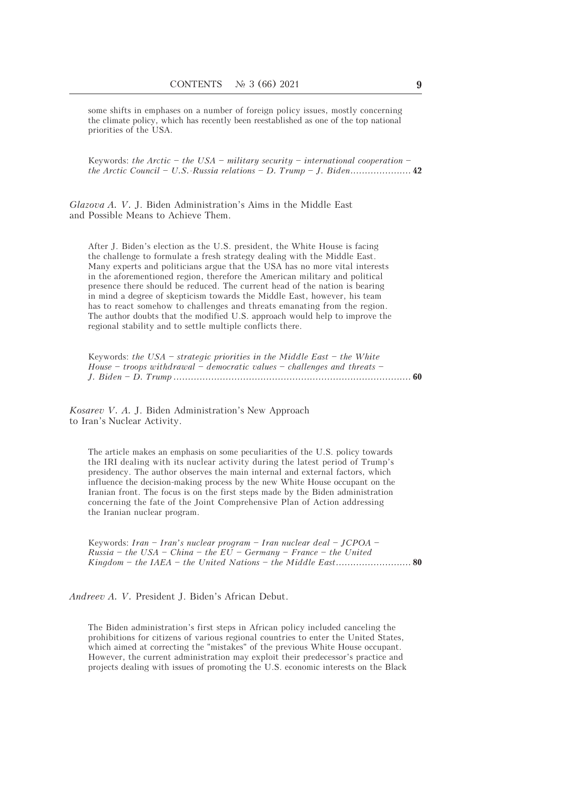some shifts in emphases on a number of foreign policy issues, mostly concerning the climate policy, which has recently been reestablished as one of the top national priorities of the USA.

Keywords: *the Arctic – the USA – military security – international cooperation – the Arctic Council – U.S.-Russia relations – D. Trump – J. Biden.....................* **42**

*Glazova A. V.* J. Biden Administration's Aims in the Middle East and Possible Means to Achieve Them.

After J. Biden's election as the U.S. president, the White House is facing the challenge to formulate a fresh strategy dealing with the Middle East. Many experts and politicians argue that the USA has no more vital interests in the aforementioned region, therefore the American military and political presence there should be reduced. The current head of the nation is bearing in mind a degree of skepticism towards the Middle East, however, his team has to react somehow to challenges and threats emanating from the region. The author doubts that the modified U.S. approach would help to improve the regional stability and to settle multiple conflicts there.

Keywords: *the USA – strategic priorities in the Middle East – the White House – troops withdrawal – democratic values – challenges and threats – J. Biden – D. Trump ..................................................................................* **60**

*Kosarev V. A.* J. Biden Administration's New Approach to Iran's Nuclear Activity.

The article makes an emphasis on some peculiarities of the U.S. policy towards the IRI dealing with its nuclear activity during the latest period of Trump's presidency. The author observes the main internal and external factors, which influence the decision-making process by the new White House occupant on the Iranian front. The focus is on the first steps made by the Biden administration concerning the fate of the Joint Comprehensive Plan of Action addressing the Iranian nuclear program.

Keywords: *Iran – Iran's nuclear program – Iran nuclear deal – JCPOA – Russia – the USA – China – the EU – Germany – France – the United Kingdom – the IAEA – the United Nations – the Middle East..........................* **80**

*Andreev A. V.* President J. Biden's African Debut.

The Biden administration's first steps in African policy included canceling the prohibitions for citizens of various regional countries to enter the United States, which aimed at correcting the "mistakes" of the previous White House occupant. However, the current administration may exploit their predecessor's practice and projects dealing with issues of promoting the U.S. economic interests on the Black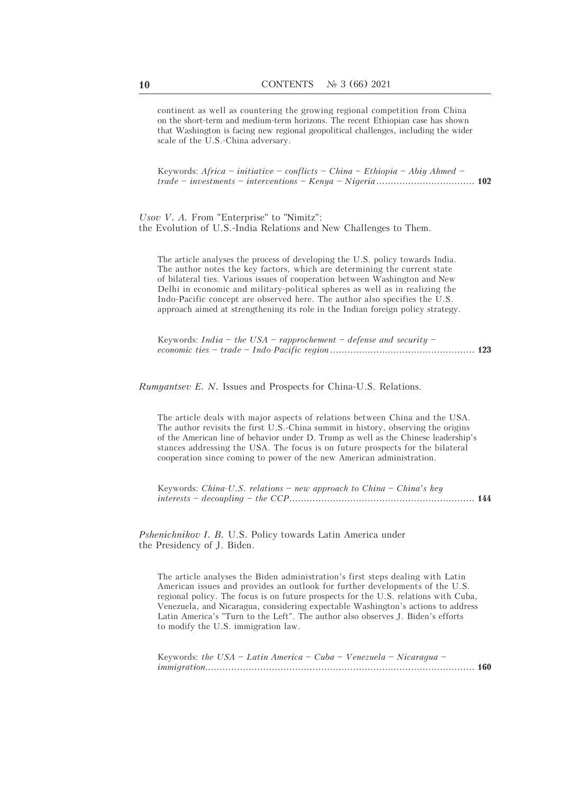continent as well as countering the growing regional competition from China on the short-term and medium-term horizons. The recent Ethiopian case has shown that Washington is facing new regional geopolitical challenges, including the wider scale of the U.S.-China adversary.

Keywords: *Africa – initiative – conflicts – China – Ethiopia – Abiy Ahmed – trade – investments – interventions – Kenya – Nigeria ..................................* **102**

*Usov V. A.* From "Enterprise" to "Nimitz": the Evolution of U.S.-India Relations and New Challenges to Them.

The article analyses the process of developing the U.S. policy towards India. The author notes the key factors, which are determining the current state of bilateral ties. Various issues of cooperation between Washington and New Delhi in economic and military-political spheres as well as in realizing the Indo-Pacific concept are observed here. The author also specifies the U.S. approach aimed at strengthening its role in the Indian foreign policy strategy.

Keywords: *India – the USA – rapprochement – defense and security – economic ties – trade – Indo-Pacific region ..................................................* **123**

*Rumyantsev E. N.* Issues and Prospects for China-U.S. Relations.

The article deals with major aspects of relations between China and the USA. The author revisits the first U.S.-China summit in history, observing the origins of the American line of behavior under D. Trump as well as the Chinese leadership's stances addressing the USA. The focus is on future prospects for the bilateral cooperation since coming to power of the new American administration.

Keywords: *China-U.S. relations – new approach to China – China's key interests – decoupling – the CCP................................................................* **144**

*Pshenichnikov I. B.* U.S. Policy towards Latin America under the Presidency of J. Biden.

The article analyses the Biden administration's first steps dealing with Latin American issues and provides an outlook for further developments of the U.S. regional policy. The focus is on future prospects for the U.S. relations with Cuba, Venezuela, and Nicaragua, considering expectable Washington's actions to address Latin America's "Turn to the Left". The author also observes J. Biden's efforts to modify the U.S. immigration law.

Keywords: *the USA – Latin America – Cuba – Venezuela – Nicaragua – immigration.............................................................................................* **160**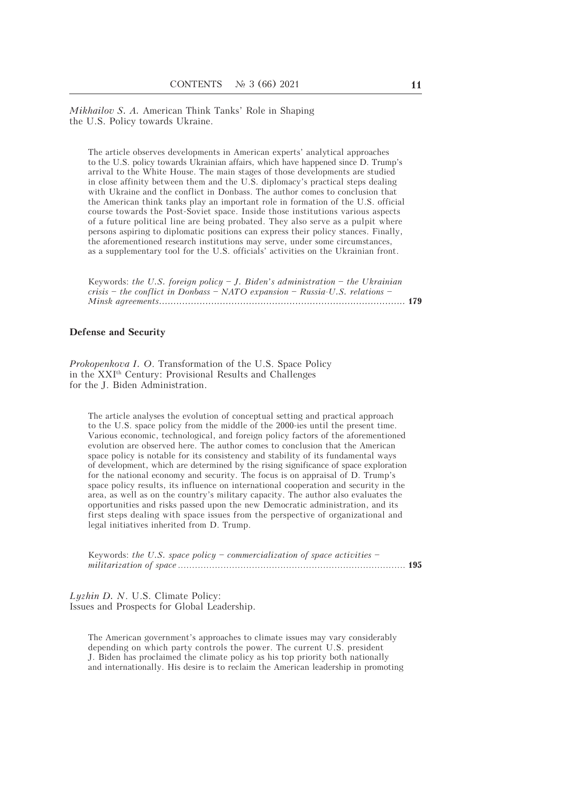*Mikhailov S. A.* American Think Tanks' Role in Shaping the U.S. Policy towards Ukraine.

The article observes developments in American experts' analytical approaches to the U.S. policy towards Ukrainian affairs, which have happened since D. Trump's arrival to the White House. The main stages of those developments are studied in close affinity between them and the U.S. diplomacy's practical steps dealing with Ukraine and the conflict in Donbass. The author comes to conclusion that the American think tanks play an important role in formation of the U.S. official course towards the Post-Soviet space. Inside those institutions various aspects of a future political line are being probated. They also serve as a pulpit where persons aspiring to diplomatic positions can express their policy stances. Finally, the aforementioned research institutions may serve, under some circumstances, as a supplementary tool for the U.S. officials' activities on the Ukrainian front.

| Keywords: the U.S. foreign policy $-J$ . Biden's administration $-$ the Ukrainian |  |
|-----------------------------------------------------------------------------------|--|
| crisis – the conflict in Donbass – NATO expansion – Russia-U.S. relations –       |  |
|                                                                                   |  |

## **Defense and Security**

*Prokopenkova I. O*. Transformation of the U.S. Space Policy in the XXIth Century: Provisional Results and Challenges for the J. Biden Administration.

The article analyses the evolution of conceptual setting and practical approach to the U.S. space policy from the middle of the 2000-ies until the present time. Various economic, technological, and foreign policy factors of the aforementioned evolution are observed here. The author comes to conclusion that the American space policy is notable for its consistency and stability of its fundamental ways of development, which are determined by the rising significance of space exploration for the national economy and security. The focus is on appraisal of D. Trump's space policy results, its influence on international cooperation and security in the area, as well as on the country's military capacity. The author also evaluates the opportunities and risks passed upon the new Democratic administration, and its first steps dealing with space issues from the perspective of organizational and legal initiatives inherited from D. Trump.

| Keywords: the U.S. space policy – commercialization of space activities – |  |
|---------------------------------------------------------------------------|--|
|                                                                           |  |

*Lyzhin D. N*. U.S. Climate Policy: Issues and Prospects for Global Leadership.

The American government's approaches to climate issues may vary considerably depending on which party controls the power. The current U.S. president J. Biden has proclaimed the climate policy as his top priority both nationally and internationally. His desire is to reclaim the American leadership in promoting